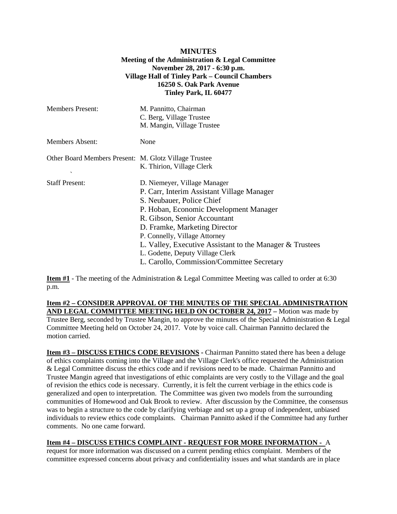## **MINUTES Meeting of the Administration & Legal Committee November 28, 2017 - 6:30 p.m. Village Hall of Tinley Park – Council Chambers 16250 S. Oak Park Avenue Tinley Park, IL 60477**

| <b>Members Present:</b>                                                           | M. Pannitto, Chairman<br>C. Berg, Village Trustee<br>M. Mangin, Village Trustee                                                                                                                                                                                                                                                                                                                   |
|-----------------------------------------------------------------------------------|---------------------------------------------------------------------------------------------------------------------------------------------------------------------------------------------------------------------------------------------------------------------------------------------------------------------------------------------------------------------------------------------------|
| <b>Members Absent:</b>                                                            | None                                                                                                                                                                                                                                                                                                                                                                                              |
| Other Board Members Present: M. Glotz Village Trustee<br>$\overline{\phantom{a}}$ | K. Thirion, Village Clerk                                                                                                                                                                                                                                                                                                                                                                         |
| <b>Staff Present:</b>                                                             | D. Niemeyer, Village Manager<br>P. Carr, Interim Assistant Village Manager<br>S. Neubauer, Police Chief<br>P. Hoban, Economic Development Manager<br>R. Gibson, Senior Accountant<br>D. Framke, Marketing Director<br>P. Connelly, Village Attorney<br>L. Valley, Executive Assistant to the Manager & Trustees<br>L. Godette, Deputy Village Clerk<br>L. Carollo, Commission/Committee Secretary |

**Item #1** - The meeting of the Administration & Legal Committee Meeting was called to order at 6:30 p.m.

## **Item #2 – CONSIDER APPROVAL OF THE MINUTES OF THE SPECIAL ADMINISTRATION AND LEGAL COMMITTEE MEETING HELD ON OCTOBER 24, 2017 –** Motion was made by

Trustee Berg, seconded by Trustee Mangin, to approve the minutes of the Special Administration & Legal Committee Meeting held on October 24, 2017. Vote by voice call. Chairman Pannitto declared the motion carried.

**Item #3 – DISCUSS ETHICS CODE REVISIONS -** Chairman Pannitto stated there has been a deluge of ethics complaints coming into the Village and the Village Clerk's office requested the Administration & Legal Committee discuss the ethics code and if revisions need to be made. Chairman Pannitto and Trustee Mangin agreed that investigations of ethic complaints are very costly to the Village and the goal of revision the ethics code is necessary. Currently, it is felt the current verbiage in the ethics code is generalized and open to interpretation. The Committee was given two models from the surrounding communities of Homewood and Oak Brook to review. After discussion by the Committee, the consensus was to begin a structure to the code by clarifying verbiage and set up a group of independent, unbiased individuals to review ethics code complaints. Chairman Pannitto asked if the Committee had any further comments. No one came forward.

## **Item #4 – DISCUSS ETHICS COMPLAINT - REQUEST FOR MORE INFORMATION -** A

request for more information was discussed on a current pending ethics complaint. Members of the committee expressed concerns about privacy and confidentiality issues and what standards are in place